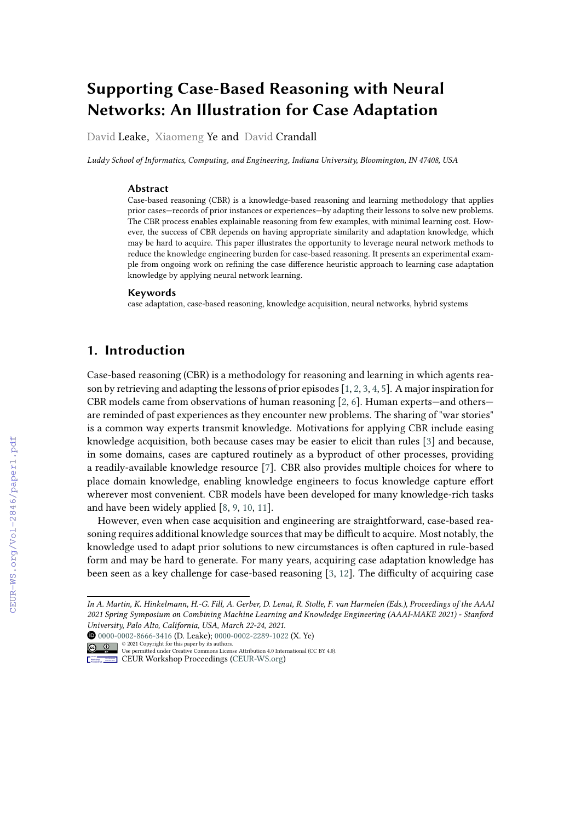# **Supporting Case-Based Reasoning with Neural Networks: An Illustration for Case Adaptation**

David Leake, Xiaomeng Ye and David Crandall

*Luddy School of Informatics, Computing, and Engineering, Indiana University, Bloomington, IN 47408, USA*

#### **Abstract**

Case-based reasoning (CBR) is a knowledge-based reasoning and learning methodology that applies prior cases—records of prior instances or experiences—by adapting their lessons to solve new problems. The CBR process enables explainable reasoning from few examples, with minimal learning cost. However, the success of CBR depends on having appropriate similarity and adaptation knowledge, which may be hard to acquire. This paper illustrates the opportunity to leverage neural network methods to reduce the knowledge engineering burden for case-based reasoning. It presents an experimental example from ongoing work on refining the case difference heuristic approach to learning case adaptation knowledge by applying neural network learning.

#### **Keywords**

case adaptation, case-based reasoning, knowledge acquisition, neural networks, hybrid systems

# **1. Introduction**

Case-based reasoning (CBR) is a methodology for reasoning and learning in which agents reason by retrieving and adapting the lessons of prior episodes [\[1,](#page--1-0) [2,](#page--1-1) [3,](#page--1-2) [4,](#page--1-3) [5\]](#page--1-4). A major inspiration for CBR models came from observations of human reasoning [\[2,](#page--1-1) [6\]](#page--1-5). Human experts—and others are reminded of past experiences as they encounter new problems. The sharing of "war stories" is a common way experts transmit knowledge. Motivations for applying CBR include easing knowledge acquisition, both because cases may be easier to elicit than rules [\[3\]](#page--1-2) and because, in some domains, cases are captured routinely as a byproduct of other processes, providing a readily-available knowledge resource [\[7\]](#page--1-6). CBR also provides multiple choices for where to place domain knowledge, enabling knowledge engineers to focus knowledge capture effort wherever most convenient. CBR models have been developed for many knowledge-rich tasks and have been widely applied [\[8,](#page--1-7) [9,](#page--1-8) [10,](#page--1-9) [11\]](#page--1-10).

However, even when case acquisition and engineering are straightforward, case-based reasoning requires additional knowledge sources that may be difficult to acquire. Most notably, the knowledge used to adapt prior solutions to new circumstances is often captured in rule-based form and may be hard to generate. For many years, acquiring case adaptation knowledge has been seen as a key challenge for case-based reasoning [\[3,](#page--1-2) [12\]](#page--1-11). The difficulty of acquiring case

*In A. Martin, K. Hinkelmann, H.-G. Fill, A. Gerber, D. Lenat, R. Stolle, F. van Harmelen (Eds.), Proceedings of the AAAI 2021 Spring Symposium on Combining Machine Learning and Knowledge Engineering (AAAI-MAKE 2021) - Stanford University, Palo Alto, California, USA, March 22-24, 2021.*

[0000-0002-8666-3416](https://orcid.org/0000-0002-8666-3416) (D. Leake); [0000-0002-2289-1022](https://orcid.org/0000-0002-2289-1022) (X. Ye)

<sup>©</sup> 2021 Copyright for this paper by its authors. Use permitted under Creative Commons License Attribution 4.0 International (CC BY 4.0).

**CEUR Workshop [Proceedings](http://ceur-ws.org) [\(CEUR-WS.org\)](http://ceur-ws.org)**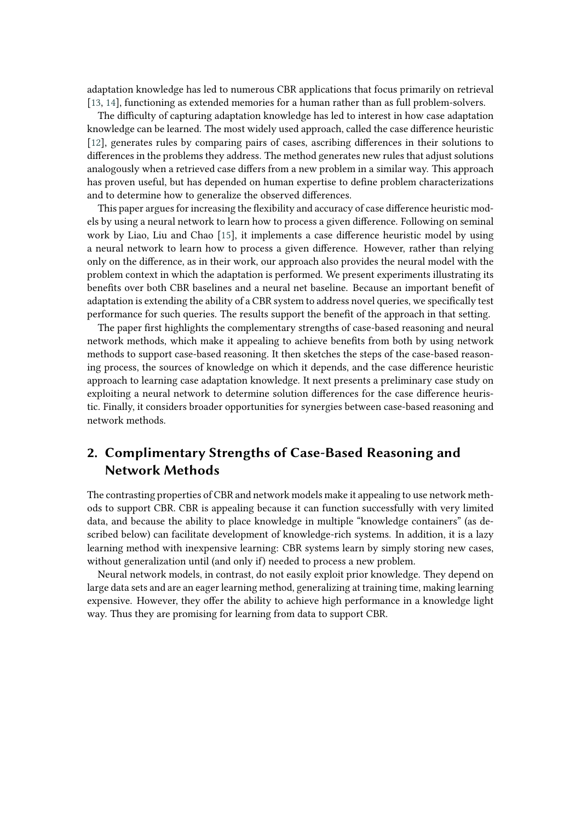adaptation knowledge has led to numerous CBR applications that focus primarily on retrieval [\[13,](#page-9-0) [14\]](#page-9-1), functioning as extended memories for a human rather than as full problem-solvers.

The difficulty of capturing adaptation knowledge has led to interest in how case adaptation knowledge can be learned. The most widely used approach, called the case difference heuristic [\[12\]](#page-9-2), generates rules by comparing pairs of cases, ascribing differences in their solutions to differences in the problems they address. The method generates new rules that adjust solutions analogously when a retrieved case differs from a new problem in a similar way. This approach has proven useful, but has depended on human expertise to define problem characterizations and to determine how to generalize the observed differences.

This paper argues for increasing the flexibility and accuracy of case difference heuristic models by using a neural network to learn how to process a given difference. Following on seminal work by Liao, Liu and Chao [\[15\]](#page-9-3), it implements a case difference heuristic model by using a neural network to learn how to process a given difference. However, rather than relying only on the difference, as in their work, our approach also provides the neural model with the problem context in which the adaptation is performed. We present experiments illustrating its benefits over both CBR baselines and a neural net baseline. Because an important benefit of adaptation is extending the ability of a CBR system to address novel queries, we specifically test performance for such queries. The results support the benefit of the approach in that setting.

The paper first highlights the complementary strengths of case-based reasoning and neural network methods, which make it appealing to achieve benefits from both by using network methods to support case-based reasoning. It then sketches the steps of the case-based reasoning process, the sources of knowledge on which it depends, and the case difference heuristic approach to learning case adaptation knowledge. It next presents a preliminary case study on exploiting a neural network to determine solution differences for the case difference heuristic. Finally, it considers broader opportunities for synergies between case-based reasoning and network methods.

# **2. Complimentary Strengths of Case-Based Reasoning and Network Methods**

The contrasting properties of CBR and network models make it appealing to use network methods to support CBR. CBR is appealing because it can function successfully with very limited data, and because the ability to place knowledge in multiple "knowledge containers" (as described below) can facilitate development of knowledge-rich systems. In addition, it is a lazy learning method with inexpensive learning: CBR systems learn by simply storing new cases, without generalization until (and only if) needed to process a new problem.

Neural network models, in contrast, do not easily exploit prior knowledge. They depend on large data sets and are an eager learning method, generalizing at training time, making learning expensive. However, they offer the ability to achieve high performance in a knowledge light way. Thus they are promising for learning from data to support CBR.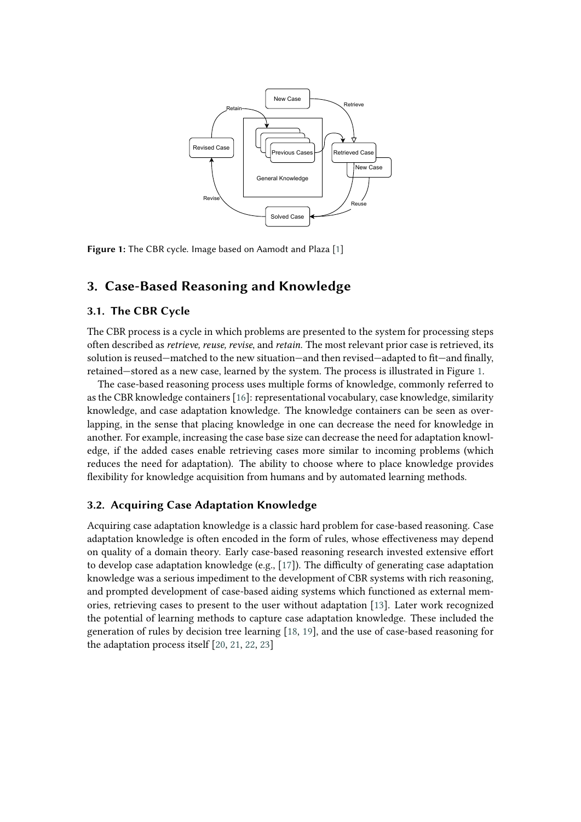<span id="page-2-0"></span>

**Figure 1:** The CBR cycle. Image based on Aamodt and Plaza [\[1\]](#page-8-0)

# **3. Case-Based Reasoning and Knowledge**

### **3.1. The CBR Cycle**

The CBR process is a cycle in which problems are presented to the system for processing steps often described as *retrieve, reuse, revise*, and *retain*. The most relevant prior case is retrieved, its solution is reused—matched to the new situation—and then revised—adapted to fit—and finally, retained—stored as a new case, learned by the system. The process is illustrated in Figure [1.](#page-2-0)

The case-based reasoning process uses multiple forms of knowledge, commonly referred to as the CBR knowledge containers [\[16\]](#page-9-4): representational vocabulary, case knowledge, similarity knowledge, and case adaptation knowledge. The knowledge containers can be seen as overlapping, in the sense that placing knowledge in one can decrease the need for knowledge in another. For example, increasing the case base size can decrease the need for adaptation knowledge, if the added cases enable retrieving cases more similar to incoming problems (which reduces the need for adaptation). The ability to choose where to place knowledge provides flexibility for knowledge acquisition from humans and by automated learning methods.

### **3.2. Acquiring Case Adaptation Knowledge**

Acquiring case adaptation knowledge is a classic hard problem for case-based reasoning. Case adaptation knowledge is often encoded in the form of rules, whose effectiveness may depend on quality of a domain theory. Early case-based reasoning research invested extensive effort to develop case adaptation knowledge (e.g.,  $[17]$ ). The difficulty of generating case adaptation knowledge was a serious impediment to the development of CBR systems with rich reasoning, and prompted development of case-based aiding systems which functioned as external memories, retrieving cases to present to the user without adaptation [\[13\]](#page-9-0). Later work recognized the potential of learning methods to capture case adaptation knowledge. These included the generation of rules by decision tree learning [\[18,](#page-9-6) [19\]](#page-9-7), and the use of case-based reasoning for the adaptation process itself [\[20,](#page-9-8) [21,](#page-9-9) [22,](#page-9-10) [23\]](#page-9-11)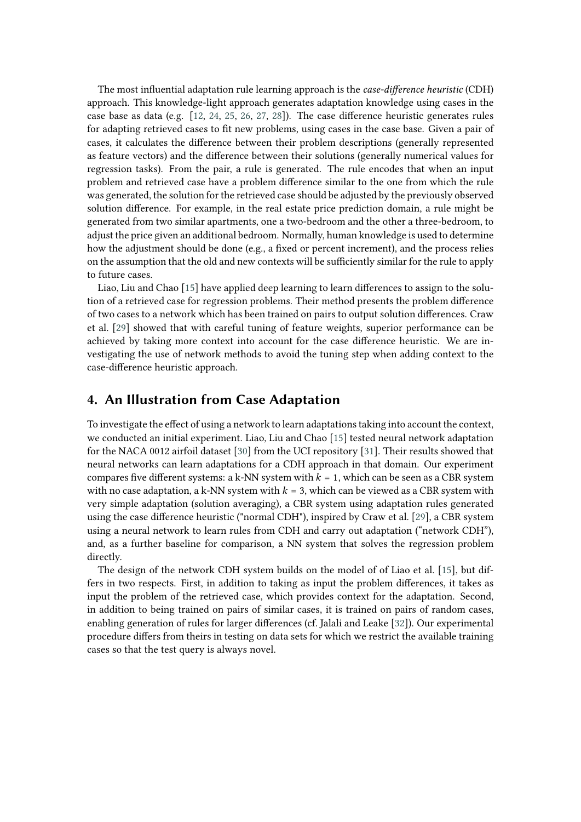The most influential adaptation rule learning approach is the *case-difference heuristic* (CDH) approach. This knowledge-light approach generates adaptation knowledge using cases in the case base as data (e.g. [\[12,](#page-9-2) [24,](#page-9-12) [25,](#page-9-13) [26,](#page-9-14) [27,](#page-9-15) [28\]](#page-10-0)). The case difference heuristic generates rules for adapting retrieved cases to fit new problems, using cases in the case base. Given a pair of cases, it calculates the difference between their problem descriptions (generally represented as feature vectors) and the difference between their solutions (generally numerical values for regression tasks). From the pair, a rule is generated. The rule encodes that when an input problem and retrieved case have a problem difference similar to the one from which the rule was generated, the solution for the retrieved case should be adjusted by the previously observed solution difference. For example, in the real estate price prediction domain, a rule might be generated from two similar apartments, one a two-bedroom and the other a three-bedroom, to adjust the price given an additional bedroom. Normally, human knowledge is used to determine how the adjustment should be done (e.g., a fixed or percent increment), and the process relies on the assumption that the old and new contexts will be sufficiently similar for the rule to apply to future cases.

Liao, Liu and Chao [\[15\]](#page-9-3) have applied deep learning to learn differences to assign to the solution of a retrieved case for regression problems. Their method presents the problem difference of two cases to a network which has been trained on pairs to output solution differences. Craw et al. [\[29\]](#page-10-1) showed that with careful tuning of feature weights, superior performance can be achieved by taking more context into account for the case difference heuristic. We are investigating the use of network methods to avoid the tuning step when adding context to the case-difference heuristic approach.

# **4. An Illustration from Case Adaptation**

To investigate the effect of using a network to learn adaptations taking into account the context, we conducted an initial experiment. Liao, Liu and Chao [\[15\]](#page-9-3) tested neural network adaptation for the NACA 0012 airfoil dataset [\[30\]](#page-10-2) from the UCI repository [\[31\]](#page-10-3). Their results showed that neural networks can learn adaptations for a CDH approach in that domain. Our experiment compares five different systems: a k-NN system with  $k = 1$ , which can be seen as a CBR system with no case adaptation, a k-NN system with  $k = 3$ , which can be viewed as a CBR system with very simple adaptation (solution averaging), a CBR system using adaptation rules generated using the case difference heuristic ("normal CDH"), inspired by Craw et al. [\[29\]](#page-10-1), a CBR system using a neural network to learn rules from CDH and carry out adaptation ("network CDH"), and, as a further baseline for comparison, a NN system that solves the regression problem directly.

The design of the network CDH system builds on the model of of Liao et al. [\[15\]](#page-9-3), but differs in two respects. First, in addition to taking as input the problem differences, it takes as input the problem of the retrieved case, which provides context for the adaptation. Second, in addition to being trained on pairs of similar cases, it is trained on pairs of random cases, enabling generation of rules for larger differences (cf. Jalali and Leake [\[32\]](#page-10-4)). Our experimental procedure differs from theirs in testing on data sets for which we restrict the available training cases so that the test query is always novel.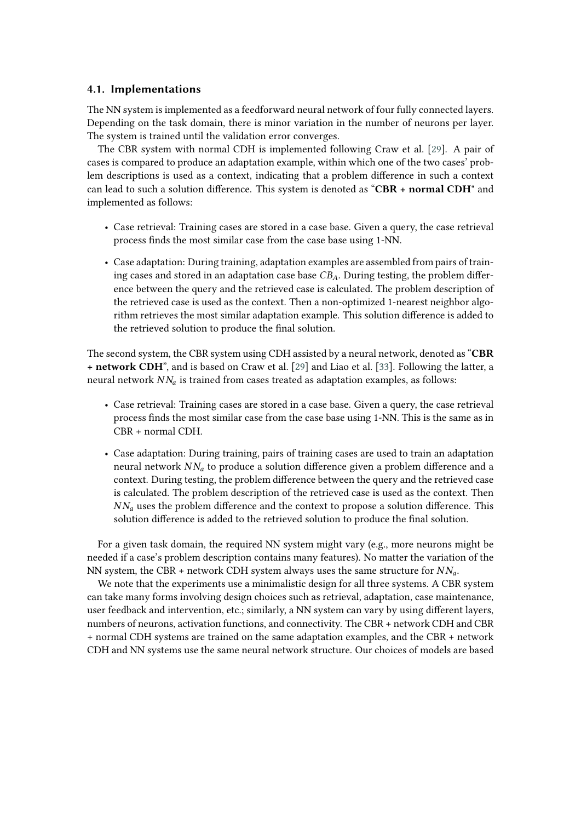### **4.1. Implementations**

The NN system is implemented as a feedforward neural network of four fully connected layers. Depending on the task domain, there is minor variation in the number of neurons per layer. The system is trained until the validation error converges.

The CBR system with normal CDH is implemented following Craw et al. [\[29\]](#page-10-1). A pair of cases is compared to produce an adaptation example, within which one of the two cases' problem descriptions is used as a context, indicating that a problem difference in such a context can lead to such a solution difference. This system is denoted as "**CBR + normal CDH**" and implemented as follows:

- Case retrieval: Training cases are stored in a case base. Given a query, the case retrieval process finds the most similar case from the case base using 1-NN.
- Case adaptation: During training, adaptation examples are assembled from pairs of training cases and stored in an adaptation case base  $CB_A$ . During testing, the problem difference between the query and the retrieved case is calculated. The problem description of the retrieved case is used as the context. Then a non-optimized 1-nearest neighbor algorithm retrieves the most similar adaptation example. This solution difference is added to the retrieved solution to produce the final solution.

The second system, the CBR system using CDH assisted by a neural network, denoted as "**CBR + network CDH**", and is based on Craw et al. [\[29\]](#page-10-1) and Liao et al. [\[33\]](#page-10-5). Following the latter, a neural network  $N N_a$  is trained from cases treated as adaptation examples, as follows:

- Case retrieval: Training cases are stored in a case base. Given a query, the case retrieval process finds the most similar case from the case base using 1-NN. This is the same as in CBR + normal CDH.
- Case adaptation: During training, pairs of training cases are used to train an adaptation neural network  $NN_a$  to produce a solution difference given a problem difference and a context. During testing, the problem difference between the query and the retrieved case is calculated. The problem description of the retrieved case is used as the context. Then  $NN_a$  uses the problem difference and the context to propose a solution difference. This solution difference is added to the retrieved solution to produce the final solution.

For a given task domain, the required NN system might vary (e.g., more neurons might be needed if a case's problem description contains many features). No matter the variation of the NN system, the CBR + network CDH system always uses the same structure for  $NN_a$ .

We note that the experiments use a minimalistic design for all three systems. A CBR system can take many forms involving design choices such as retrieval, adaptation, case maintenance, user feedback and intervention, etc.; similarly, a NN system can vary by using different layers, numbers of neurons, activation functions, and connectivity. The CBR + network CDH and CBR + normal CDH systems are trained on the same adaptation examples, and the CBR + network CDH and NN systems use the same neural network structure. Our choices of models are based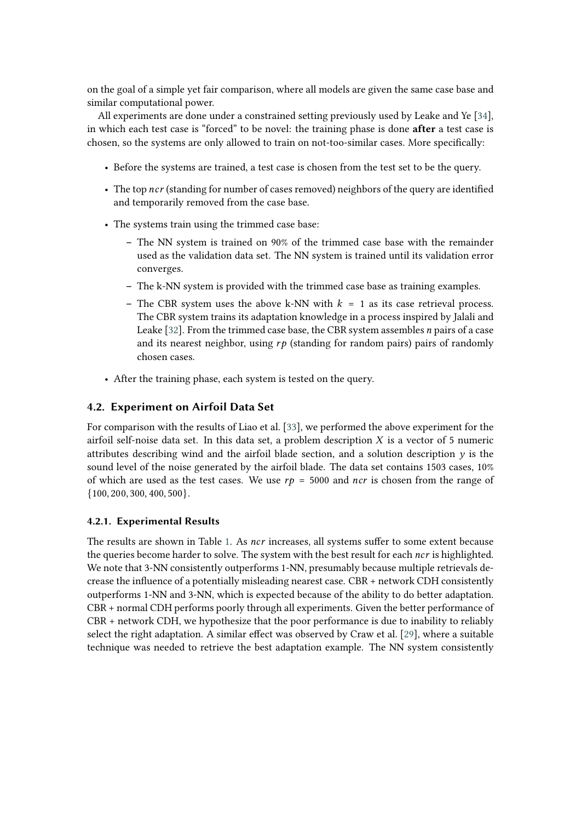on the goal of a simple yet fair comparison, where all models are given the same case base and similar computational power.

All experiments are done under a constrained setting previously used by Leake and Ye [\[34\]](#page-10-6), in which each test case is "forced" to be novel: the training phase is done **after** a test case is chosen, so the systems are only allowed to train on not-too-similar cases. More specifically:

- Before the systems are trained, a test case is chosen from the test set to be the query.
- The top ncr (standing for number of cases removed) neighbors of the query are identified and temporarily removed from the case base.
- The systems train using the trimmed case base:
	- **–** The NN system is trained on 90% of the trimmed case base with the remainder used as the validation data set. The NN system is trained until its validation error converges.
	- **–** The k-NN system is provided with the trimmed case base as training examples.
	- The CBR system uses the above k-NN with  $k = 1$  as its case retrieval process. The CBR system trains its adaptation knowledge in a process inspired by Jalali and Leake [\[32\]](#page-10-4). From the trimmed case base, the CBR system assembles  $n$  pairs of a case and its nearest neighbor, using  $rp$  (standing for random pairs) pairs of randomly chosen cases.
- After the training phase, each system is tested on the query.

## **4.2. Experiment on Airfoil Data Set**

For comparison with the results of Liao et al. [\[33\]](#page-10-5), we performed the above experiment for the airfoil self-noise data set. In this data set, a problem description  $X$  is a vector of 5 numeric attributes describing wind and the airfoil blade section, and a solution description  $y$  is the sound level of the noise generated by the airfoil blade. The data set contains 1503 cases, 10% of which are used as the test cases. We use  $rp = 5000$  and ncr is chosen from the range of  $\{100, 200, 300, 400, 500\}.$ 

### **4.2.1. Experimental Results**

The results are shown in Table [1.](#page-6-0) As *ncr* increases, all systems suffer to some extent because the queries become harder to solve. The system with the best result for each  $ncr$  is highlighted. We note that 3-NN consistently outperforms 1-NN, presumably because multiple retrievals decrease the influence of a potentially misleading nearest case. CBR + network CDH consistently outperforms 1-NN and 3-NN, which is expected because of the ability to do better adaptation. CBR + normal CDH performs poorly through all experiments. Given the better performance of CBR + network CDH, we hypothesize that the poor performance is due to inability to reliably select the right adaptation. A similar effect was observed by Craw et al. [\[29\]](#page-10-1), where a suitable technique was needed to retrieve the best adaptation example. The NN system consistently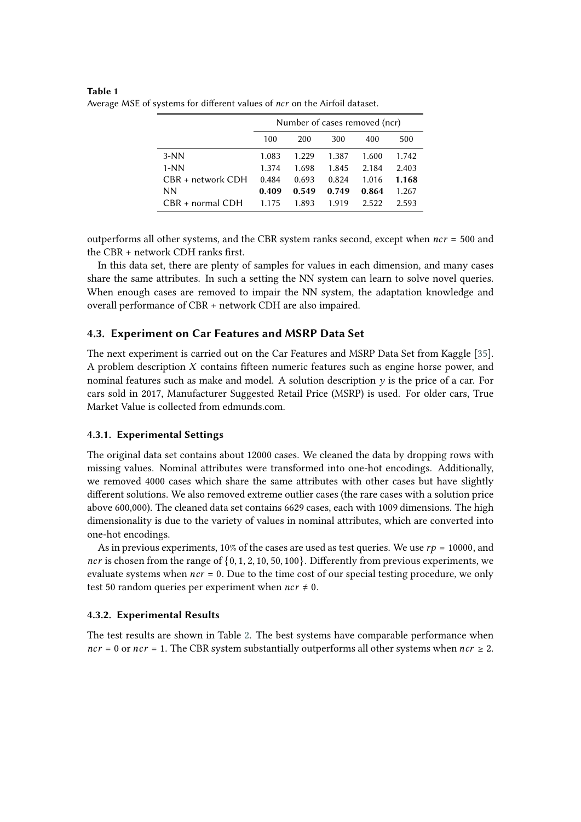|                    | Number of cases removed (ncr) |       |       |       |       |  |  |  |
|--------------------|-------------------------------|-------|-------|-------|-------|--|--|--|
|                    | 100                           | 200   | 300   | 400   | 500   |  |  |  |
| $3-NN$             | 1.083                         | 1.229 | 1.387 | 1.600 | 1.742 |  |  |  |
| $1-NN$             | 1.374                         | 1.698 | 1.845 | 2.184 | 2.403 |  |  |  |
| CBR + network CDH  | 0.484                         | 0.693 | 0.824 | 1.016 | 1.168 |  |  |  |
| ΝN                 | 0.409                         | 0.549 | 0.749 | 0.864 | 1.267 |  |  |  |
| $CBR + normal CDH$ | 1.175                         | 1.893 | 1.919 | 2.522 | 2.593 |  |  |  |

<span id="page-6-0"></span>**Table 1** Average MSE of systems for different values of ncr on the Airfoil dataset.

outperforms all other systems, and the CBR system ranks second, except when  $ncr = 500$  and the CBR + network CDH ranks first.

In this data set, there are plenty of samples for values in each dimension, and many cases share the same attributes. In such a setting the NN system can learn to solve novel queries. When enough cases are removed to impair the NN system, the adaptation knowledge and overall performance of CBR + network CDH are also impaired.

### **4.3. Experiment on Car Features and MSRP Data Set**

The next experiment is carried out on the Car Features and MSRP Data Set from Kaggle [\[35\]](#page-10-7). A problem description  $X$  contains fifteen numeric features such as engine horse power, and nominal features such as make and model. A solution description  $\nu$  is the price of a car. For cars sold in 2017, Manufacturer Suggested Retail Price (MSRP) is used. For older cars, True Market Value is collected from edmunds.com.

### **4.3.1. Experimental Settings**

The original data set contains about 12000 cases. We cleaned the data by dropping rows with missing values. Nominal attributes were transformed into one-hot encodings. Additionally, we removed 4000 cases which share the same attributes with other cases but have slightly different solutions. We also removed extreme outlier cases (the rare cases with a solution price above 600,000). The cleaned data set contains 6629 cases, each with 1009 dimensions. The high dimensionality is due to the variety of values in nominal attributes, which are converted into one-hot encodings.

As in previous experiments, 10% of the cases are used as test queries. We use  $rp = 10000$ , and ncr is chosen from the range of  $\{0, 1, 2, 10, 50, 100\}$ . Differently from previous experiments, we evaluate systems when  $ncr = 0$ . Due to the time cost of our special testing procedure, we only test 50 random queries per experiment when  $ncr \neq 0$ .

#### **4.3.2. Experimental Results**

The test results are shown in Table [2.](#page-7-0) The best systems have comparable performance when  $ncr = 0$  or  $ncr = 1$ . The CBR system substantially outperforms all other systems when  $ncr \ge 2$ .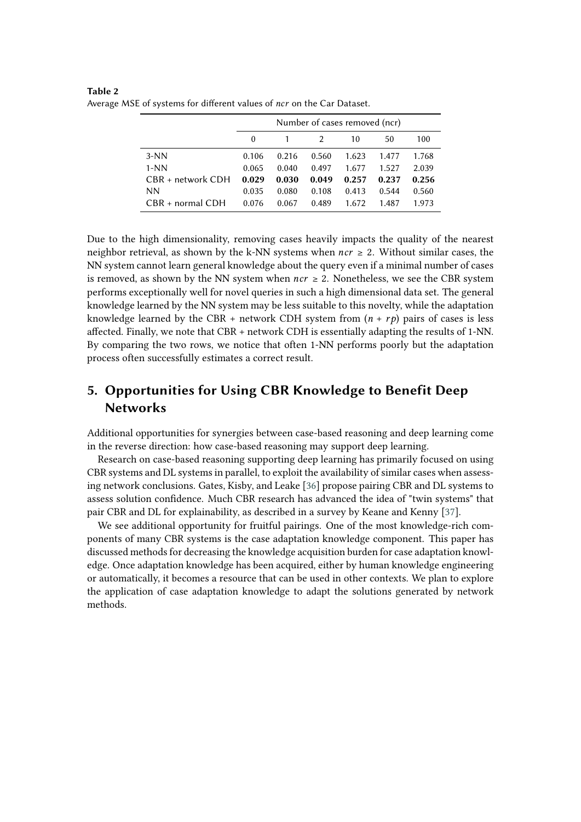|                    | Number of cases removed (ncr) |       |               |       |       |       |  |  |
|--------------------|-------------------------------|-------|---------------|-------|-------|-------|--|--|
|                    | $\theta$                      |       | $\mathcal{L}$ | 10    | 50    | 100   |  |  |
| $3-NN$             | 0.106                         | 0.216 | 0.560         | 1.623 | 1.477 | 1.768 |  |  |
| $1-NN$             | 0.065                         | 0.040 | 0.497         | 1.677 | 1.527 | 2.039 |  |  |
| CBR + network CDH  | 0.029                         | 0.030 | 0.049         | 0.257 | 0.237 | 0.256 |  |  |
| NN.                | 0.035                         | 0.080 | 0.108         | 0.413 | 0.544 | 0.560 |  |  |
| $CRR + normal CDH$ | 0.076                         | 0.067 | 0.489         | 1.672 | 1.487 | 1.973 |  |  |

<span id="page-7-0"></span>**Table 2** Average MSE of systems for different values of ncr on the Car Dataset.

Due to the high dimensionality, removing cases heavily impacts the quality of the nearest neighbor retrieval, as shown by the k-NN systems when  $ncr \geq 2$ . Without similar cases, the NN system cannot learn general knowledge about the query even if a minimal number of cases is removed, as shown by the NN system when  $ncr \geq 2$ . Nonetheless, we see the CBR system performs exceptionally well for novel queries in such a high dimensional data set. The general knowledge learned by the NN system may be less suitable to this novelty, while the adaptation knowledge learned by the CBR + network CDH system from  $(n + rp)$  pairs of cases is less affected. Finally, we note that CBR + network CDH is essentially adapting the results of 1-NN. By comparing the two rows, we notice that often 1-NN performs poorly but the adaptation process often successfully estimates a correct result.

# **5. Opportunities for Using CBR Knowledge to Benefit Deep Networks**

Additional opportunities for synergies between case-based reasoning and deep learning come in the reverse direction: how case-based reasoning may support deep learning.

Research on case-based reasoning supporting deep learning has primarily focused on using CBR systems and DL systems in parallel, to exploit the availability of similar cases when assessing network conclusions. Gates, Kisby, and Leake [\[36\]](#page-10-8) propose pairing CBR and DL systems to assess solution confidence. Much CBR research has advanced the idea of "twin systems" that pair CBR and DL for explainability, as described in a survey by Keane and Kenny [\[37\]](#page-10-9).

We see additional opportunity for fruitful pairings. One of the most knowledge-rich components of many CBR systems is the case adaptation knowledge component. This paper has discussed methods for decreasing the knowledge acquisition burden for case adaptation knowledge. Once adaptation knowledge has been acquired, either by human knowledge engineering or automatically, it becomes a resource that can be used in other contexts. We plan to explore the application of case adaptation knowledge to adapt the solutions generated by network methods.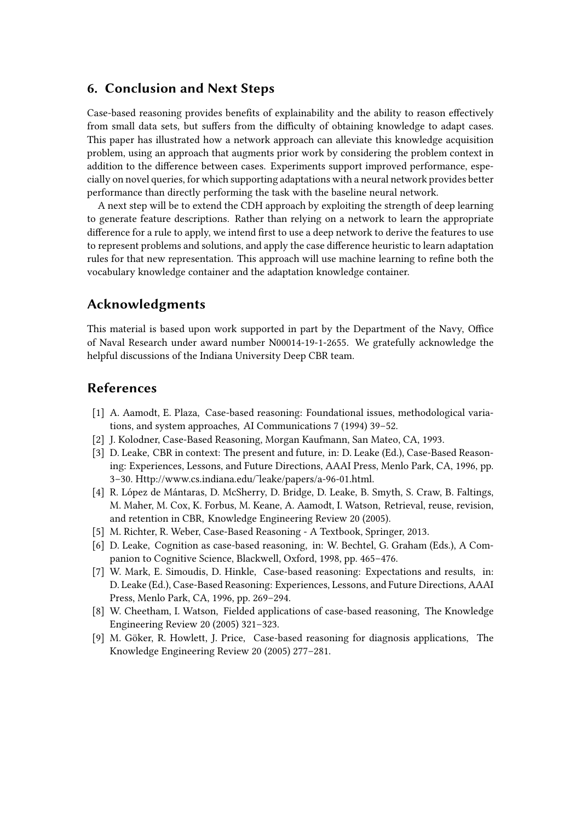# **6. Conclusion and Next Steps**

Case-based reasoning provides benefits of explainability and the ability to reason effectively from small data sets, but suffers from the difficulty of obtaining knowledge to adapt cases. This paper has illustrated how a network approach can alleviate this knowledge acquisition problem, using an approach that augments prior work by considering the problem context in addition to the difference between cases. Experiments support improved performance, especially on novel queries, for which supporting adaptations with a neural network provides better performance than directly performing the task with the baseline neural network.

A next step will be to extend the CDH approach by exploiting the strength of deep learning to generate feature descriptions. Rather than relying on a network to learn the appropriate difference for a rule to apply, we intend first to use a deep network to derive the features to use to represent problems and solutions, and apply the case difference heuristic to learn adaptation rules for that new representation. This approach will use machine learning to refine both the vocabulary knowledge container and the adaptation knowledge container.

# **Acknowledgments**

This material is based upon work supported in part by the Department of the Navy, Office of Naval Research under award number N00014-19-1-2655. We gratefully acknowledge the helpful discussions of the Indiana University Deep CBR team.

# **References**

- <span id="page-8-0"></span>[1] A. Aamodt, E. Plaza, Case-based reasoning: Foundational issues, methodological variations, and system approaches, AI Communications 7 (1994) 39–52.
- [2] J. Kolodner, Case-Based Reasoning, Morgan Kaufmann, San Mateo, CA, 1993.
- [3] D. Leake, CBR in context: The present and future, in: D. Leake (Ed.), Case-Based Reasoning: Experiences, Lessons, and Future Directions, AAAI Press, Menlo Park, CA, 1996, pp. 3–30. Http://www.cs.indiana.edu/˜leake/papers/a-96-01.html.
- [4] R. López de Mántaras, D. McSherry, D. Bridge, D. Leake, B. Smyth, S. Craw, B. Faltings, M. Maher, M. Cox, K. Forbus, M. Keane, A. Aamodt, I. Watson, Retrieval, reuse, revision, and retention in CBR, Knowledge Engineering Review 20 (2005).
- [5] M. Richter, R. Weber, Case-Based Reasoning A Textbook, Springer, 2013.
- [6] D. Leake, Cognition as case-based reasoning, in: W. Bechtel, G. Graham (Eds.), A Companion to Cognitive Science, Blackwell, Oxford, 1998, pp. 465–476.
- [7] W. Mark, E. Simoudis, D. Hinkle, Case-based reasoning: Expectations and results, in: D. Leake (Ed.), Case-Based Reasoning: Experiences, Lessons, and Future Directions, AAAI Press, Menlo Park, CA, 1996, pp. 269–294.
- [8] W. Cheetham, I. Watson, Fielded applications of case-based reasoning, The Knowledge Engineering Review 20 (2005) 321–323.
- [9] M. Göker, R. Howlett, J. Price, Case-based reasoning for diagnosis applications, The Knowledge Engineering Review 20 (2005) 277–281.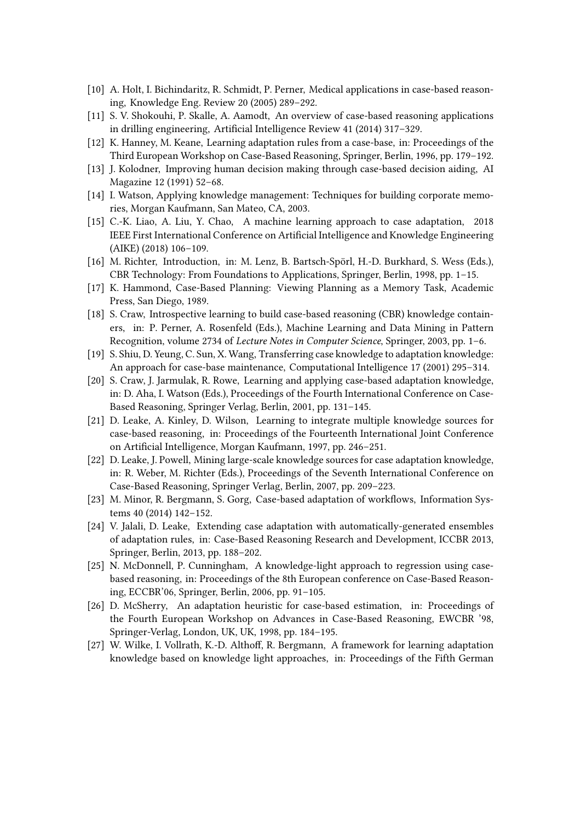- [10] A. Holt, I. Bichindaritz, R. Schmidt, P. Perner, Medical applications in case-based reasoning, Knowledge Eng. Review 20 (2005) 289–292.
- [11] S. V. Shokouhi, P. Skalle, A. Aamodt, An overview of case-based reasoning applications in drilling engineering, Artificial Intelligence Review 41 (2014) 317–329.
- <span id="page-9-2"></span>[12] K. Hanney, M. Keane, Learning adaptation rules from a case-base, in: Proceedings of the Third European Workshop on Case-Based Reasoning, Springer, Berlin, 1996, pp. 179–192.
- <span id="page-9-0"></span>[13] J. Kolodner, Improving human decision making through case-based decision aiding, AI Magazine 12 (1991) 52–68.
- <span id="page-9-1"></span>[14] I. Watson, Applying knowledge management: Techniques for building corporate memories, Morgan Kaufmann, San Mateo, CA, 2003.
- <span id="page-9-3"></span>[15] C.-K. Liao, A. Liu, Y. Chao, A machine learning approach to case adaptation, 2018 IEEE First International Conference on Artificial Intelligence and Knowledge Engineering (AIKE) (2018) 106–109.
- <span id="page-9-4"></span>[16] M. Richter, Introduction, in: M. Lenz, B. Bartsch-Spörl, H.-D. Burkhard, S. Wess (Eds.), CBR Technology: From Foundations to Applications, Springer, Berlin, 1998, pp. 1–15.
- <span id="page-9-5"></span>[17] K. Hammond, Case-Based Planning: Viewing Planning as a Memory Task, Academic Press, San Diego, 1989.
- <span id="page-9-6"></span>[18] S. Craw, Introspective learning to build case-based reasoning (CBR) knowledge containers, in: P. Perner, A. Rosenfeld (Eds.), Machine Learning and Data Mining in Pattern Recognition, volume 2734 of *Lecture Notes in Computer Science*, Springer, 2003, pp. 1–6.
- <span id="page-9-7"></span>[19] S. Shiu, D. Yeung, C. Sun, X. Wang, Transferring case knowledge to adaptation knowledge: An approach for case-base maintenance, Computational Intelligence 17 (2001) 295–314.
- <span id="page-9-8"></span>[20] S. Craw, J. Jarmulak, R. Rowe, Learning and applying case-based adaptation knowledge, in: D. Aha, I. Watson (Eds.), Proceedings of the Fourth International Conference on Case-Based Reasoning, Springer Verlag, Berlin, 2001, pp. 131–145.
- <span id="page-9-9"></span>[21] D. Leake, A. Kinley, D. Wilson, Learning to integrate multiple knowledge sources for case-based reasoning, in: Proceedings of the Fourteenth International Joint Conference on Artificial Intelligence, Morgan Kaufmann, 1997, pp. 246–251.
- <span id="page-9-10"></span>[22] D. Leake, J. Powell, Mining large-scale knowledge sources for case adaptation knowledge, in: R. Weber, M. Richter (Eds.), Proceedings of the Seventh International Conference on Case-Based Reasoning, Springer Verlag, Berlin, 2007, pp. 209–223.
- <span id="page-9-11"></span>[23] M. Minor, R. Bergmann, S. Gorg, Case-based adaptation of workflows, Information Systems 40 (2014) 142–152.
- <span id="page-9-12"></span>[24] V. Jalali, D. Leake, Extending case adaptation with automatically-generated ensembles of adaptation rules, in: Case-Based Reasoning Research and Development, ICCBR 2013, Springer, Berlin, 2013, pp. 188–202.
- <span id="page-9-13"></span>[25] N. McDonnell, P. Cunningham, A knowledge-light approach to regression using casebased reasoning, in: Proceedings of the 8th European conference on Case-Based Reasoning, ECCBR'06, Springer, Berlin, 2006, pp. 91–105.
- <span id="page-9-14"></span>[26] D. McSherry, An adaptation heuristic for case-based estimation, in: Proceedings of the Fourth European Workshop on Advances in Case-Based Reasoning, EWCBR '98, Springer-Verlag, London, UK, UK, 1998, pp. 184–195.
- <span id="page-9-15"></span>[27] W. Wilke, I. Vollrath, K.-D. Althoff, R. Bergmann, A framework for learning adaptation knowledge based on knowledge light approaches, in: Proceedings of the Fifth German